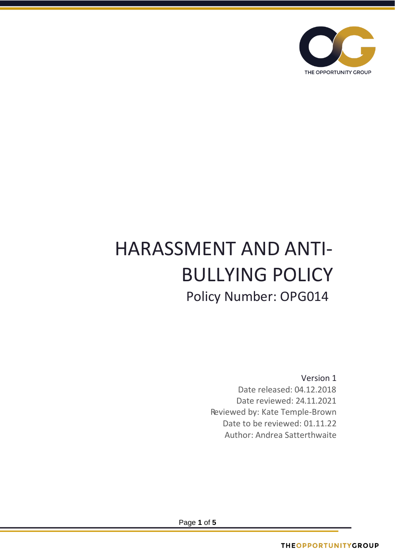

# HARASSMENT AND ANTI-BULLYING POLICY Policy Number: OPG014

Version 1 Date released: 04.12.2018 Date reviewed: 24.11.2021 Reviewed by: Kate Temple-Brown Date to be reviewed: 01.11.22 Author: Andrea Satterthwaite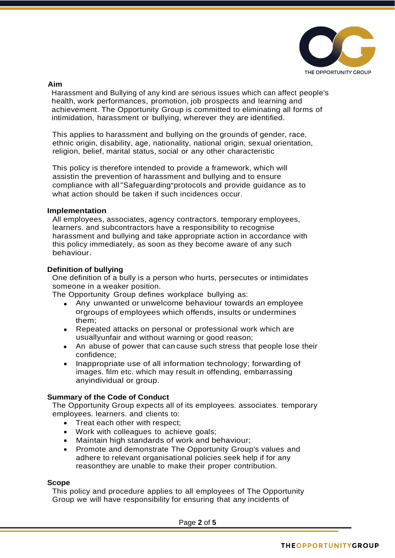

### **Aim**

Harassment and Bullying of any kind are serious issues which can affect people's health, work performances, promotion, job prospects and learning and achievement. The Opportunity Group is committed to eliminating all forms of intimidation, harassment or bullying, wherever they are identified.

This applies to harassment and bullying on the grounds of gender, race, ethnic origin, disability, age, nationality, national origin, sexual orientation, religion, belief, marital status, social or any other characteristic

This policy is therefore intended to provide a framework, which will assistin the prevention of harassment and bullying and to ensure compliance with all"Safeguarding"protocols and provide guidance as to what action should be taken if such incidences occur.

#### **Implementation**

All employees, associates, agency contractors. temporary employees, learners. and subcontractors have a responsibility to recognise harassment and bullying and take appropriate action in accordance with this policy immediately, as soon as they become aware of any such behaviour.

#### **Definition of bullying**

One definition of a bully is a person who hurts, persecutes or intimidates someone in a weaker position.

The Opportunity Group defines workplace bullying as:

- Any unwanted or unwelcome behaviour towards an employee orgroups of employees which offends, insults or undermines them;
- Repeated attacks on personal or professional work which are usuallyunfair and without warning or good reason;
- An abuse of power that can cause such stress that people lose their confidence;
- Inappropriate use of all information technology; forwarding of images. film etc. which may result in offending, embarrassing anyindividual or group.

#### **Summary of the Code of Conduct**

The Opportunity Group expects all of its employees. associates. temporary employees. learners. and clients to:

- Treat each other with respect;
- Work with colleagues to achieve goals;
- Maintain high standards of work and behaviour;
- Promote and demonstrate The Opportunity Group's values and adhere to relevant organisational policies seek help if for any reasonthey are unable to make their proper contribution.

#### **Scope**

This policy and procedure applies to all employees of The Opportunity Group we will have responsibility for ensuring that any incidents of

Page **2** of **5**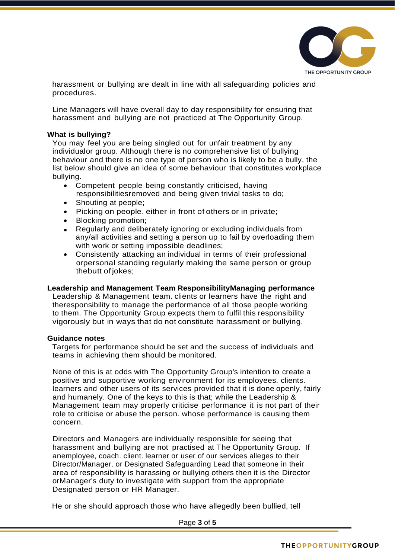

harassment or bullying are dealt in line with all safeguarding policies and procedures.

Line Managers will have overall day to day responsibility for ensuring that harassment and bullying are not practiced at The Opportunity Group.

#### **What is bullying?**

You may feel you are being singled out for unfair treatment by any individualor group. Although there is no comprehensive list of bullying behaviour and there is no one type of person who is likely to be a bully, the list below should give an idea of some behaviour that constitutes workplace bullying.

- Competent people being constantly criticised, having responsibilitiesremoved and being given trivial tasks to do;
- Shouting at people:
- Picking on people. either in front of others or in private;
- Blocking promotion;
- Regularly and deliberately ignoring or excluding individuals from any/all activities and setting a person up to fail by overloading them with work or setting impossible deadlines;
- Consistently attacking an individual in terms of their professional orpersonal standing regularly making the same person or group thebutt of jokes;

#### **Leadership and Management Team ResponsibilityManaging performance**

Leadership & Management team. clients or learners have the right and theresponsibility to manage the performance of all those people working to them. The Opportunity Group expects them to fulfil this responsibility vigorously but in ways that do not constitute harassment or bullying.

#### **Guidance notes**

Targets for performance should be set and the success of individuals and teams in achieving them should be monitored.

None of this is at odds with The Opportunity Group's intention to create a positive and supportive working environment for its employees. clients. learners and other users of its services provided that it is done openly, fairly and humanely. One of the keys to this is that; while the Leadership & Management team may properly criticise performance it is not part of their role to criticise or abuse the person. whose performance is causing them concern.

Directors and Managers are individually responsible for seeing that harassment and bullying are not practised at The Opportunity Group. If anemployee, coach. client. learner or user of our services alleges to their Director/Manager. or Designated Safeguarding Lead that someone in their area of responsibility is harassing or bullying others then it is the Director orManager's duty to investigate with support from the appropriate Designated person or HR Manager.

He or she should approach those who have allegedly been bullied, tell

Page **3** of **5**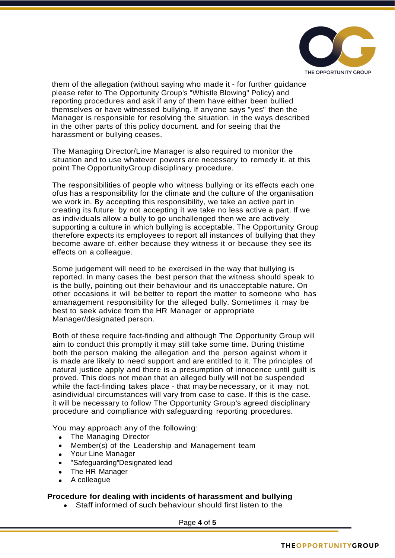

them of the allegation (without saying who made it - for further guidance please refer to The Opportunity Group's "Whistle Blowing" Policy) and reporting procedures and ask if any of them have either been bullied themselves or have witnessed bullying. If anyone says "yes" then the Manager is responsible for resolving the situation. in the ways described in the other parts of this policy document. and for seeing that the harassment or bullying ceases.

The Managing Director/Line Manager is also required to monitor the situation and to use whatever powers are necessary to remedy it. at this point The OpportunityGroup disciplinary procedure.

The responsibilities of people who witness bullying or its effects each one ofus has a responsibility for the climate and the culture of the organisation we work in. By accepting this responsibility, we take an active part in creating its future: by not accepting it we take no less active a part. If we as individuals allow a bully to go unchallenged then we are actively supporting a culture in which bullying is acceptable. The Opportunity Group therefore expects its employees to report all instances of bullying that they become aware of. either because they witness it or because they see its effects on a colleague.

Some judgement will need to be exercised in the way that bullying is reported. In many cases the best person that the witness should speak to is the bully, pointing out their behaviour and its unacceptable nature. On other occasions it will be better to report the matter to someone who has amanagement responsibility for the alleged bully. Sometimes it may be best to seek advice from the HR Manager or appropriate Manager/designated person.

Both of these require fact-finding and although The Opportunity Group will aim to conduct this promptly it may still take some time. During thistime both the person making the allegation and the person against whom it is made are likely to need support and are entitled to it. The principles of natural justice apply and there is a presumption of innocence until guilt is proved. This does not mean that an alleged bully will not be suspended while the fact-finding takes place - that may be necessary, or it may not. asindividual circumstances will vary from case to case. If this is the case. it will be necessary to follow The Opportunity Group's agreed disciplinary procedure and compliance with safeguarding reporting procedures.

You may approach any of the following:

- The Managing Director
- Member(s) of the Leadership and Management team
- Your Line Manager
- "Safeguarding"Designated lead
- The HR Manager
- A colleague

# **Procedure for dealing with incidents of harassment and bullying**

• Staff informed of such behaviour should first listen to the

Page **4** of **5**